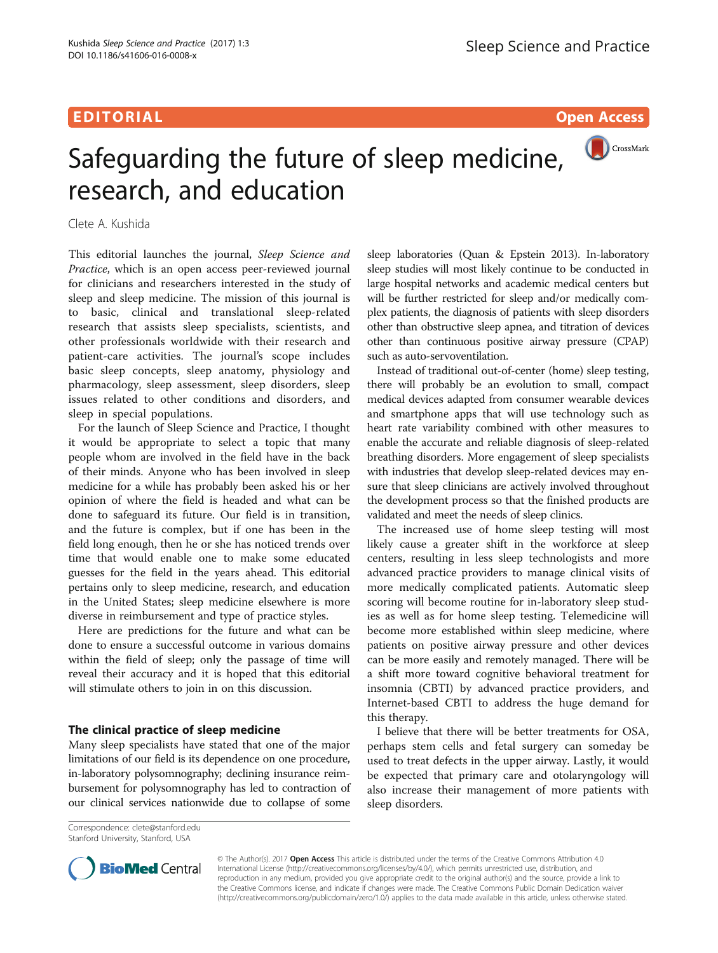## EDITORIAL AND INTERNATIONAL CONTRACT CONTRACT CONTRACT CONTRACT CONTRACT CONTRACT CONTRACT CONTRACT CONTRACT CO

# CrossMark Safeguarding the future of sleep medicine, research, and education

Clete A. Kushida

This editorial launches the journal, Sleep Science and Practice, which is an open access peer-reviewed journal for clinicians and researchers interested in the study of sleep and sleep medicine. The mission of this journal is to basic, clinical and translational sleep-related research that assists sleep specialists, scientists, and other professionals worldwide with their research and patient-care activities. The journal's scope includes basic sleep concepts, sleep anatomy, physiology and pharmacology, sleep assessment, sleep disorders, sleep issues related to other conditions and disorders, and sleep in special populations.

For the launch of Sleep Science and Practice, I thought it would be appropriate to select a topic that many people whom are involved in the field have in the back of their minds. Anyone who has been involved in sleep medicine for a while has probably been asked his or her opinion of where the field is headed and what can be done to safeguard its future. Our field is in transition, and the future is complex, but if one has been in the field long enough, then he or she has noticed trends over time that would enable one to make some educated guesses for the field in the years ahead. This editorial pertains only to sleep medicine, research, and education in the United States; sleep medicine elsewhere is more diverse in reimbursement and type of practice styles.

Here are predictions for the future and what can be done to ensure a successful outcome in various domains within the field of sleep; only the passage of time will reveal their accuracy and it is hoped that this editorial will stimulate others to join in on this discussion.

### The clinical practice of sleep medicine

Many sleep specialists have stated that one of the major limitations of our field is its dependence on one procedure, in-laboratory polysomnography; declining insurance reimbursement for polysomnography has led to contraction of our clinical services nationwide due to collapse of some

sleep laboratories (Quan & Epstein [2013](#page-1-0)). In-laboratory sleep studies will most likely continue to be conducted in large hospital networks and academic medical centers but will be further restricted for sleep and/or medically complex patients, the diagnosis of patients with sleep disorders other than obstructive sleep apnea, and titration of devices other than continuous positive airway pressure (CPAP) such as auto-servoventilation.

Instead of traditional out-of-center (home) sleep testing, there will probably be an evolution to small, compact medical devices adapted from consumer wearable devices and smartphone apps that will use technology such as heart rate variability combined with other measures to enable the accurate and reliable diagnosis of sleep-related breathing disorders. More engagement of sleep specialists with industries that develop sleep-related devices may ensure that sleep clinicians are actively involved throughout the development process so that the finished products are validated and meet the needs of sleep clinics.

The increased use of home sleep testing will most likely cause a greater shift in the workforce at sleep centers, resulting in less sleep technologists and more advanced practice providers to manage clinical visits of more medically complicated patients. Automatic sleep scoring will become routine for in-laboratory sleep studies as well as for home sleep testing. Telemedicine will become more established within sleep medicine, where patients on positive airway pressure and other devices can be more easily and remotely managed. There will be a shift more toward cognitive behavioral treatment for insomnia (CBTI) by advanced practice providers, and Internet-based CBTI to address the huge demand for this therapy.

I believe that there will be better treatments for OSA, perhaps stem cells and fetal surgery can someday be used to treat defects in the upper airway. Lastly, it would be expected that primary care and otolaryngology will also increase their management of more patients with sleep disorders.

Correspondence: [clete@stanford.edu](mailto:clete@stanford.edu) Stanford University, Stanford, USA



© The Author(s). 2017 **Open Access** This article is distributed under the terms of the Creative Commons Attribution 4.0 International License [\(http://creativecommons.org/licenses/by/4.0/](http://creativecommons.org/licenses/by/4.0/)), which permits unrestricted use, distribution, and reproduction in any medium, provided you give appropriate credit to the original author(s) and the source, provide a link to the Creative Commons license, and indicate if changes were made. The Creative Commons Public Domain Dedication waiver [\(http://creativecommons.org/publicdomain/zero/1.0/](http://creativecommons.org/publicdomain/zero/1.0/)) applies to the data made available in this article, unless otherwise stated.